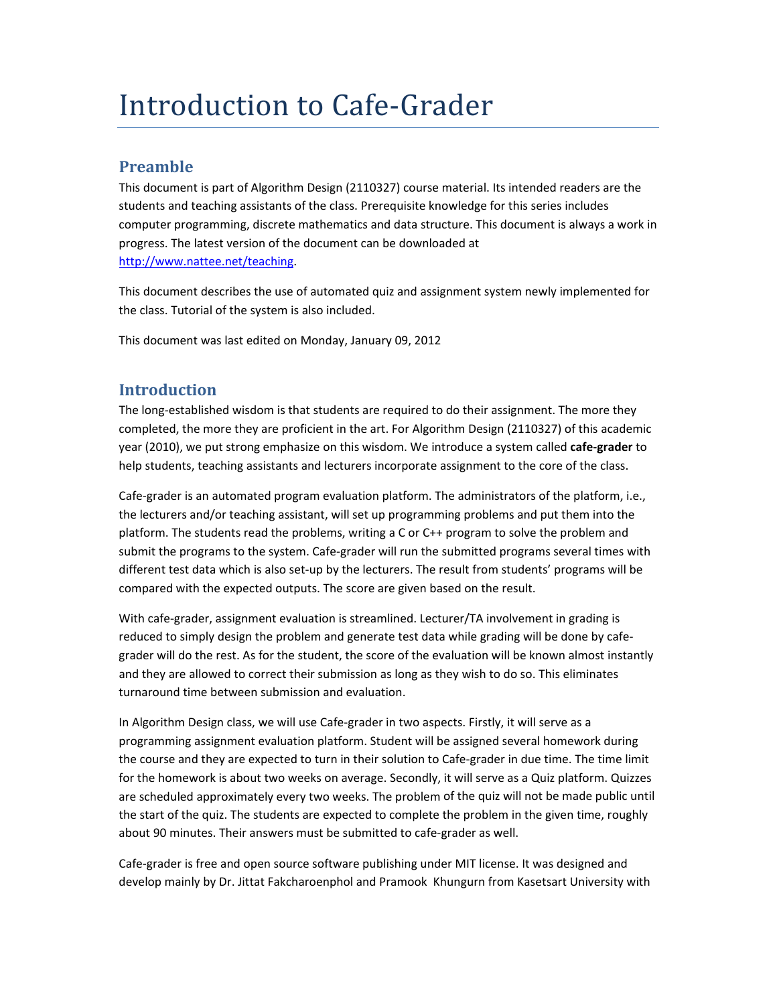# Introduction to Cafe-Grader

## **Preamble**

This document is part of Algorithm Design (2110327) course material. Its intended readers are the students and teaching assistants of the class. Prerequisite knowledge for this series includes computer programming, discrete mathematics and data structure. This document is always a work in progress. The latest version of the document can be downloaded at http://www.nattee.net/teaching.

This document describes the use of automated quiz and assignment system newly implemented for the class. Tutorial of the system is also included.

This document was last edited on Monday, January 09, 2012

# **Introduction**

The long‐established wisdom is that students are required to do their assignment. The more they completed, the more they are proficient in the art. For Algorithm Design (2110327) of this academic year (2010), we put strong emphasize on this wisdom. We introduce a system called **cafe‐grader** to help students, teaching assistants and lecturers incorporate assignment to the core of the class.

Cafe‐grader is an automated program evaluation platform. The administrators of the platform, i.e., the lecturers and/or teaching assistant, will set up programming problems and put them into the platform. The students read the problems, writing a C or C++ program to solve the problem and submit the programs to the system. Cafe‐grader will run the submitted programs several times with different test data which is also set‐up by the lecturers. The result from students' programs will be compared with the expected outputs. The score are given based on the result.

With cafe-grader, assignment evaluation is streamlined. Lecturer/TA involvement in grading is reduced to simply design the problem and generate test data while grading will be done by cafe‐ grader will do the rest. As for the student, the score of the evaluation will be known almost instantly and they are allowed to correct their submission as long as they wish to do so. This eliminates turnaround time between submission and evaluation.

In Algorithm Design class, we will use Cafe‐grader in two aspects. Firstly, it will serve as a programming assignment evaluation platform. Student will be assigned several homework during the course and they are expected to turn in their solution to Cafe‐grader in due time. The time limit for the homework is about two weeks on average. Secondly, it will serve as a Quiz platform. Quizzes are scheduled approximately every two weeks. The problem of the quiz will not be made public until the start of the quiz. The students are expected to complete the problem in the given time, roughly about 90 minutes. Their answers must be submitted to cafe‐grader as well.

Cafe‐grader is free and open source software publishing under MIT license. It was designed and develop mainly by Dr. Jittat Fakcharoenphol and Pramook Khungurn from Kasetsart University with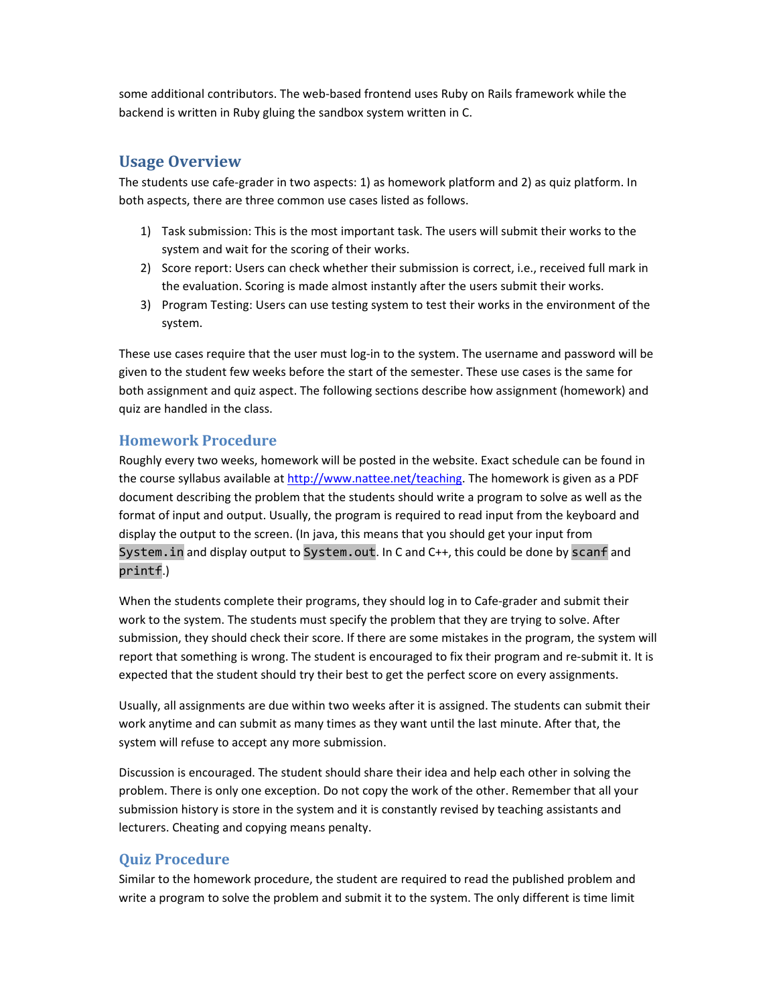some additional contributors. The web‐based frontend uses Ruby on Rails framework while the backend is written in Ruby gluing the sandbox system written in C.

#### **Usage Overview**

The students use cafe‐grader in two aspects: 1) as homework platform and 2) as quiz platform. In both aspects, there are three common use cases listed as follows.

- 1) Task submission: This is the most important task. The users will submit their works to the system and wait for the scoring of their works.
- 2) Score report: Users can check whether their submission is correct, i.e., received full mark in the evaluation. Scoring is made almost instantly after the users submit their works.
- 3) Program Testing: Users can use testing system to test their works in the environment of the system.

These use cases require that the user must log-in to the system. The username and password will be given to the student few weeks before the start of the semester. These use cases is the same for both assignment and quiz aspect. The following sections describe how assignment (homework) and quiz are handled in the class.

#### **Homework Procedure**

Roughly every two weeks, homework will be posted in the website. Exact schedule can be found in the course syllabus available at http://www.nattee.net/teaching. The homework is given as a PDF document describing the problem that the students should write a program to solve as well as the format of input and output. Usually, the program is required to read input from the keyboard and display the output to the screen. (In java, this means that you should get your input from System.in and display output to System.out. In C and C++, this could be done by scanf and printf.)

When the students complete their programs, they should log in to Cafe-grader and submit their work to the system. The students must specify the problem that they are trying to solve. After submission, they should check their score. If there are some mistakes in the program, the system will report that something is wrong. The student is encouraged to fix their program and re‐submit it. It is expected that the student should try their best to get the perfect score on every assignments.

Usually, all assignments are due within two weeks after it is assigned. The students can submit their work anytime and can submit as many times as they want until the last minute. After that, the system will refuse to accept any more submission.

Discussion is encouraged. The student should share their idea and help each other in solving the problem. There is only one exception. Do not copy the work of the other. Remember that all your submission history is store in the system and it is constantly revised by teaching assistants and lecturers. Cheating and copying means penalty.

#### **Quiz Procedure**

Similar to the homework procedure, the student are required to read the published problem and write a program to solve the problem and submit it to the system. The only different is time limit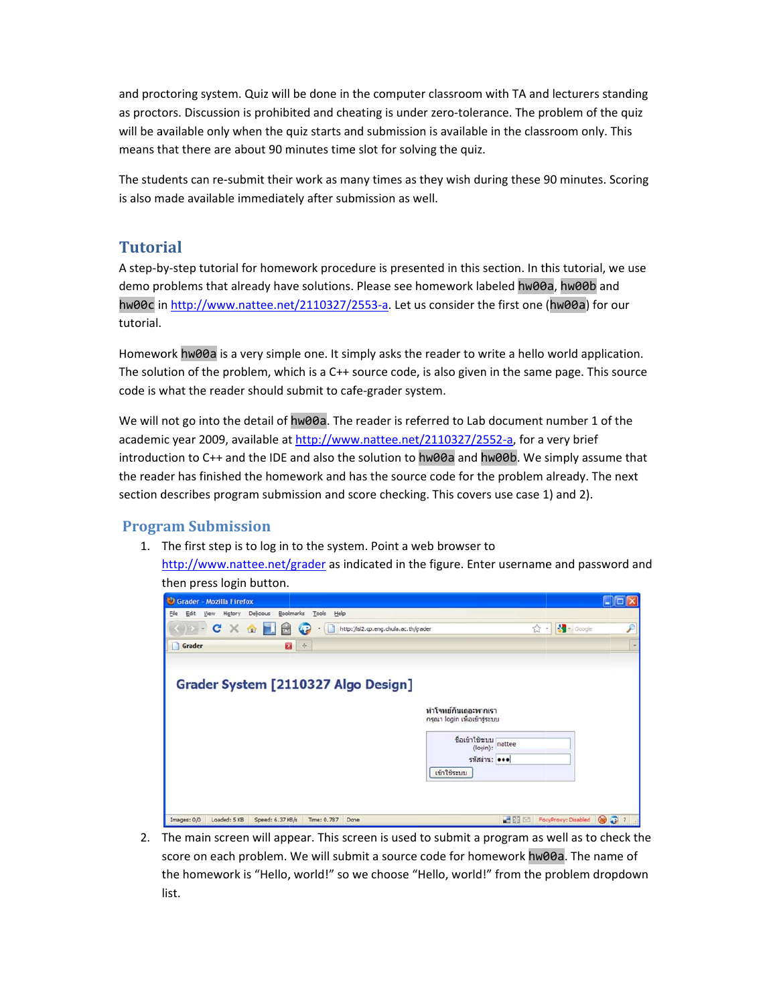and proctoring system. Quiz will be done in the computer classroom with TA and lecturers standing as proctors. Discussion is prohibited and cheating is under zero-tolerance. The problem of the quiz will be available only when the quiz starts and submission is available in the classroom only. This means that there are about 90 minutes time slot for solving the quiz.

The students can re-submit their work as many times as they wish during these 90 minutes. Scoring is also made available immediately after submission as well.

## **Tutorial**

A step-by-step tutorial for homework procedure is presented in this section. In this tutorial, we use demo problems that already have solutions. Please see homework labeled hw00a, hw00b and hw00c in http://www.nattee.net/2110327/2553-a. Let us consider the first one (hw00a) for our tutorial.

Homework hw00a is a very simple one. It simply asks the reader to write a hello world application. The solution of the problem, which is a C++ source code, is also given in the same page. This source code is what the reader should submit to cafe-grader system.

We will not go into the detail of hw00a. The reader is referred to Lab document number 1 of the academic year 2009, available at http://www.nattee.net/2110327/2552-a, for a very brief introduction to C++ and the IDE and also the solution to hw00a and hw00b. We simply assume that the reader has finished the homework and has the source code for the problem already. The next section describes program submission and score checking. This covers use case 1) and 2).

### **Program Submission**

1. The first step is to log in to the system. Point a web browser to

http://www.nattee.net/grader as indicated in the figure. Enter username and password and then press login button.

| Delicious<br>Edit<br>Higtory<br>View | Bookmarks<br>Tools                    | Help                                  |                              |   |
|--------------------------------------|---------------------------------------|---------------------------------------|------------------------------|---|
| $C \times \Omega$<br>$\rightarrow -$ | <b>HIM</b><br>$\sqrt{2}$<br>$\bullet$ | http://isl2.cp.eng.chula.ac.th/grader | ☆                            | £ |
| Grader                               | a<br>$\phi$                           |                                       |                              |   |
|                                      |                                       |                                       |                              |   |
| Grader System [2110327 Algo Design]  |                                       |                                       |                              |   |
|                                      |                                       |                                       | ทำโจทย์กันเถอะพากเรา         |   |
|                                      |                                       |                                       | กรุณา login เพื่อเข้าสู่ระบบ |   |
|                                      |                                       |                                       | ชื่อเข้าใช้ระบบ<br>nattee    |   |
|                                      |                                       |                                       | (login):<br>รหัสผ่าน: •••    |   |
|                                      |                                       | เข้าใช้ระบบ                           |                              |   |
|                                      |                                       |                                       |                              |   |

2. The main screen will appear. This screen is used to submit a program as well as to check the score on each problem. We will submit a source code for homework hw00a. The name of the homework is "Hello, world!" so we choose "Hello, world!" from the problem dropdown list.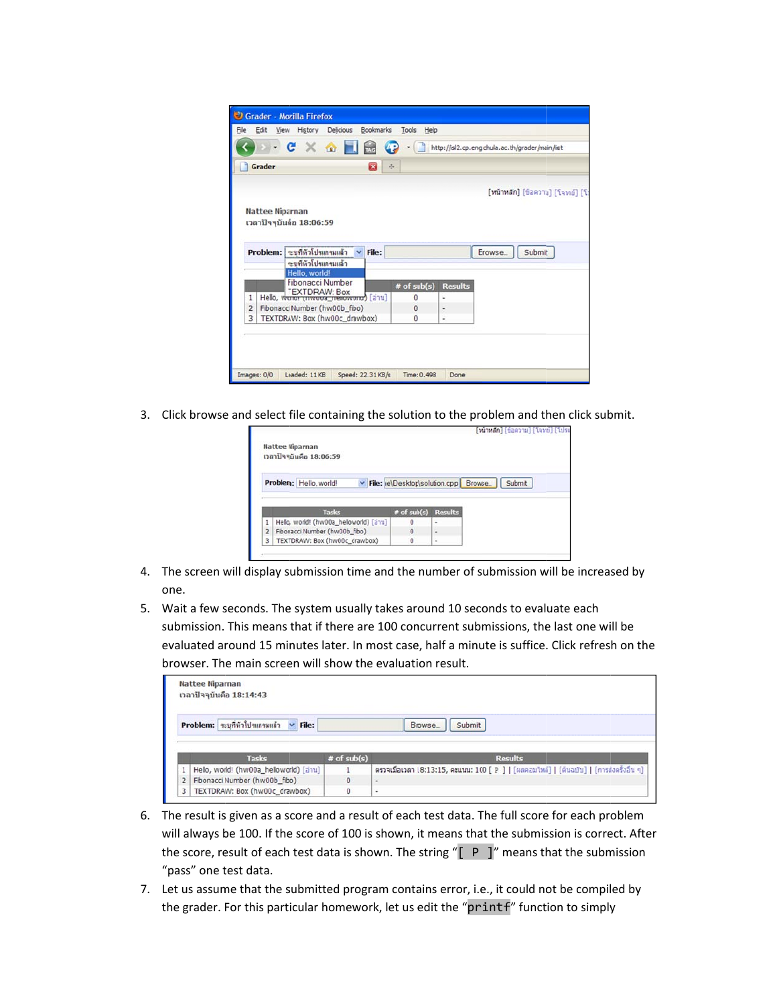|                         | $-C \times 2$<br>Œ                                     |                 | http://isl2.cp.eng.chula.ac.th/grader/main/list |
|-------------------------|--------------------------------------------------------|-----------------|-------------------------------------------------|
| Grader                  | $\mathbf{g}_i$<br>$\sigma_{\rm c}^2$                   |                 |                                                 |
|                         |                                                        |                 | [หน้าหลัก] [ข้อความ] [โจทย์] [โป                |
| <b>Nattee Niparnan</b>  |                                                        |                 |                                                 |
|                         | เวลาปัจจุบันคือ 18:06:59                               |                 |                                                 |
|                         |                                                        |                 |                                                 |
|                         | Problem: ระบทีทั่วโปรแกรมแล้ว<br>File:<br>$\checkmark$ |                 | Erowse.<br>Submit                               |
|                         | าะบทีทั่วโปรแกรมแล้ว                                   |                 |                                                 |
|                         | Hello, world!                                          |                 |                                                 |
|                         | <b>Fibonacci Number</b>                                | $#$ of $sub(s)$ | <b>Results</b>                                  |
|                         | Hello, wurder (Hwood_Hellow Month) [anu]               | $\bf{0}$        | u                                               |
| $\mathbf{1}$            |                                                        | $\bf{0}$        | ٠                                               |
| $\overline{2}$          | Fibonacci Number (hw00b_fibo)                          |                 | ä,                                              |
| $\overline{\mathbf{3}}$ | TEXTDRAW: Box (hw00c_drawbox)                          | $\bf{0}$        |                                                 |
|                         |                                                        |                 |                                                 |

3. Click browse and select file containing the solution to the problem and then click submit.

|                | Nattee Niparnan<br>เวลาปัจจุบันคือ 18:06:59 |                                 |                          | [หน้าหลัก] [ข้อความ] [โจทย์] [โปร |  |
|----------------|---------------------------------------------|---------------------------------|--------------------------|-----------------------------------|--|
|                | Problem: Hello, world!                      | V File: le\Desktop\solution.cpp |                          | Browse<br>Submit                  |  |
|                |                                             |                                 |                          |                                   |  |
|                | Tasks                                       | $#$ of $sub(s)$                 | <b>Results</b>           |                                   |  |
|                | Helio, world! (hw00a_helloworld) [anu]      | $\ddot{\phantom{0}}$            | ٠                        |                                   |  |
| $\overline{2}$ | Fibonacci Number (hw00b_fibo)               | $\theta$                        | $\overline{\phantom{a}}$ |                                   |  |

- 4. The screen will display submission time and the number of submission will be increased by one.
- 5. Wait a few seconds. The system usually takes around 10 seconds to evaluate each submission. This means that if there are 100 concurrent submissions, the last one will be evaluated around 15 minutes later. In most case, half a minute is suffice. Click refresh on the browser. The main screen will show the evaluation result.

| <b>Nattee Niparnan</b><br>เวลาปัจจุบันคือ 18:14:43 |               |                                                                                           |
|----------------------------------------------------|---------------|-------------------------------------------------------------------------------------------|
| Problem: ระบุที่หัวโปรแกรมแล้ว v File:             |               | Browse.<br>Submit                                                                         |
|                                                    |               |                                                                                           |
| <b>Tasks</b>                                       | $#$ of sub(s) | <b>Results</b>                                                                            |
| Hello, world! (hw00a_helloworld) [anu]             |               | ิตรวจเมื่อเวลา 18:13:15, คะแนน: 100 [ P ]   [ผลคอมไหล์]   [ต้นฉบับ]   [การส่งครั้งอื่น ๆ] |
| Fibonacci Number (hw00b_fibo)                      | 0             | $\overline{\phantom{a}}$                                                                  |

- 6. The result is given as a score and a result of each test data. The full score for each problem will always be 100. If the score of 100 is shown, it means that the submission is correct. After the score, result of each test data is shown. The string "[ P ]" means that the submission "pass" one t test data.
- 7. Let us assume that the submitted program contains error, i.e., it could not be compiled by the grader. For this particular homework, let us edit the "printf" function to simply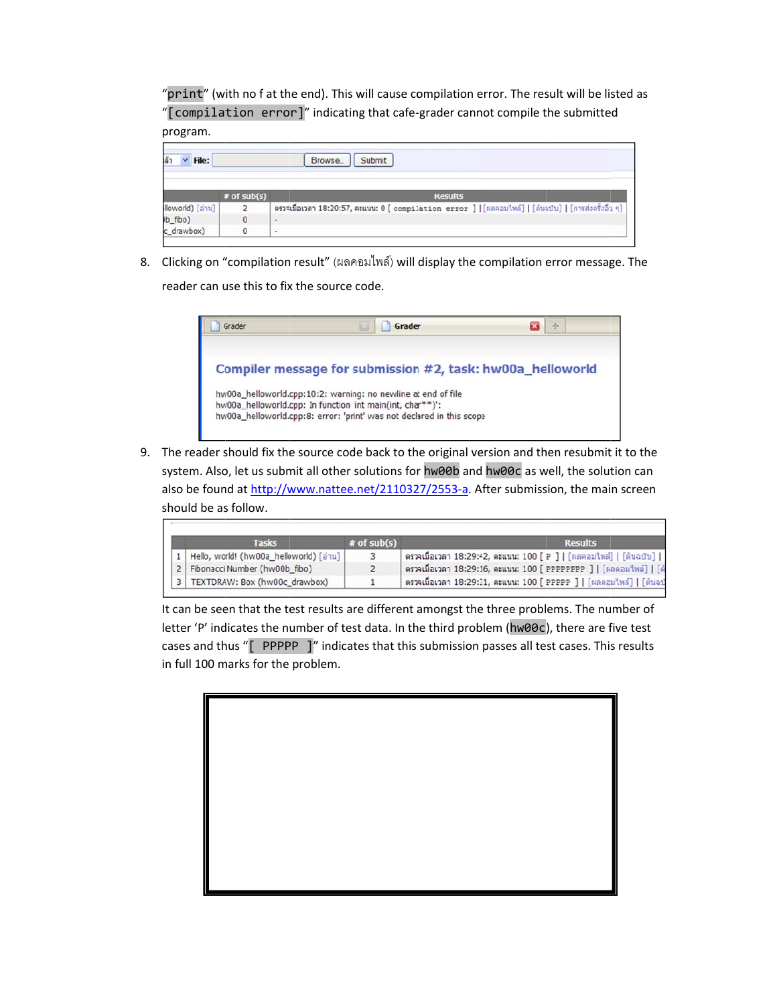"print" (with no f at the end). This will cause compilation error. The result will be listed as "[compilation error]" indicating that cafe-grader cannot compile the submitted program.

| Browse_<br>File:<br>Submit |               |                                                                                                        |  |  |  |
|----------------------------|---------------|--------------------------------------------------------------------------------------------------------|--|--|--|
|                            | $*$ of sub(s) | <b>Results</b>                                                                                         |  |  |  |
| [anu] (loworld             |               | ตรวจเมื่อเวลา 18:20:57, คะแนน: O [ compilation error ]   [ผลคอมไหล์]   [ต้นฉบับ]   [การส่งครั้งอื่น ๆ] |  |  |  |
| b_fibo)                    | 0             | $\,$                                                                                                   |  |  |  |
| c_drawbox)                 |               | $\tilde{\phantom{a}}$                                                                                  |  |  |  |

8. Clicking on "compilation result" (ผลคอมไพล์) will display the compilation error message. The

reader can use this to fix the source code.



9. The reader should fix the source code back to the original version and then resubmit it to the system. Also, let us submit all other solutions for hw00b and hw00c as well, the solution can also be found at http://www.nattee.net/2110327/2553-a. After submission, the main screen should be as follow.

| <b>Tasks</b>                               | $*$ of sub(s) | <b>Results</b>                                                        |
|--------------------------------------------|---------------|-----------------------------------------------------------------------|
| 1   Hello, world! (hw00a_helloworld) [anu] |               | ิตรวจเมื่อเวลา 18:29:42, คะแนน: 100 [ P ]   [ผลคอมใหล่]   [ต้นฉบับ]   |
| 2 Fibonacci Number (hw00b_fibo)            |               | ตรวจเมื่อเวลา 18:29:16, คะแนน: 100 [ PPPPPPPP ]   [ผลคอมไพล์]   [ตั   |
| 3   TEXTDRAW: Box (hw00c_drawbox)          |               | ิตรวจเมื่อเวลา 18:29:31, คะแนน: 100 [ PPPPP ]   [ผลคอมใหล่]   [ต้นฉบั |

It can be seen that the test results are different amongst the three problems. The number of letter 'P' indicates the number of test data. In the third problem (hw00c), there are five test cases and thus "[PPPPP]" indicates that this submission passes all test cases. This results in full 100 marks for the problem.

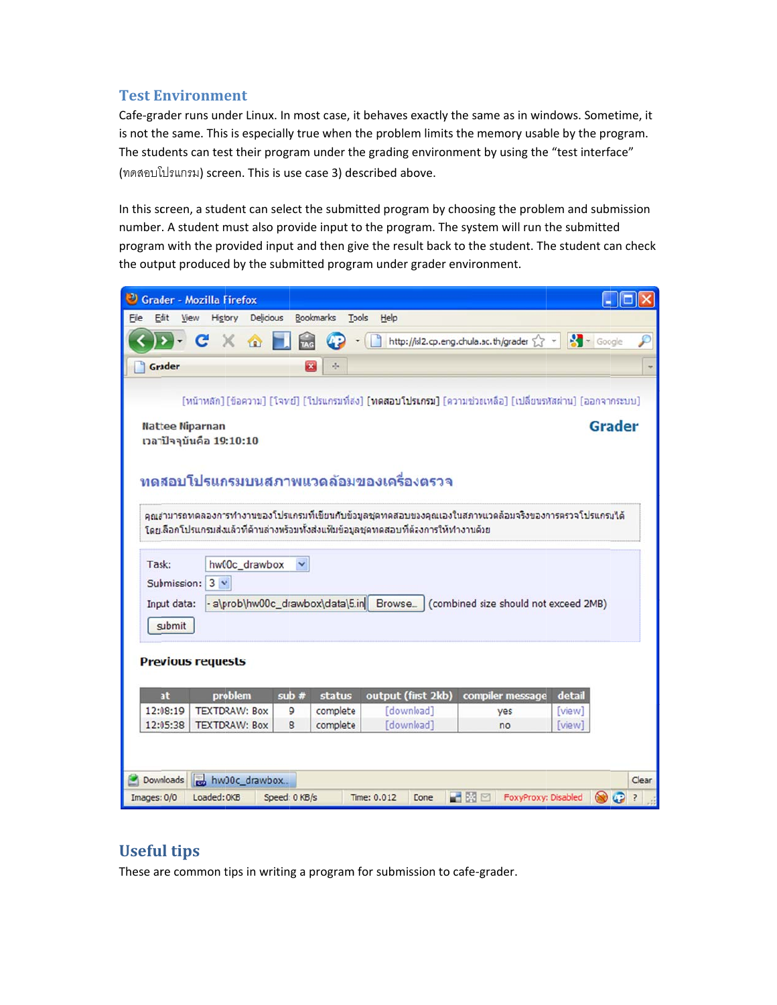#### **Test Environment**

Cafe-grader runs under Linux. In most case, it behaves exactly the same as in windows. Sometime, it is not the same. This is especially true when the problem limits the memory usable by the program. The students can test their program under the grading environment by using the "test interface" (ทดสอบโปรแกรม) screen. This is use case 3) described above.

In this screen, a student can select the submitted program by choosing the problem and submission number. A student must also provide input to the program. The system will run the submitted program with the provided input and then give the result back to the student. The student can check the output produced by the submitted program under grader environment.



# **Useful tips**

These are common tips in writing a program for submission to cafe-grader.